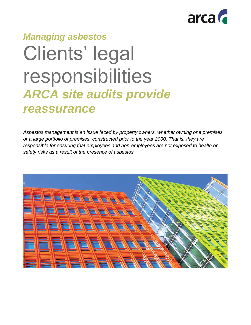

# *Managing asbestos* Clients' legal responsibilities *ARCA site audits provide reassurance*

*Asbestos management is an issue faced by property owners, whether owning one premises or a large portfolio of premises, constructed prior to the year 2000. That is, they are responsible for ensuring that employees and non-employees are not exposed to health or safety risks as a result of the presence of asbestos.*

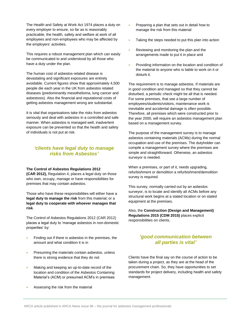The Health and Safety at Work Act 1974 places a duty on every employer to ensure, so far as is reasonably practicable, the health, safety and welfare at work of all employees and non-employees who may be affected by the employers' activities.

This requires a robust management plan which can easily be communicated to and understood by all those who have a duty under the plan.

The human cost of asbestos-related disease is devastating and significant exposures are entirely avoidable. Current figures show that approximately 4,500 people die each year in the UK from asbestos related diseases (predominantly mesothelioma, lung cancer and asbestosis). Also the financial and reputational costs of getting asbestos management wrong are substantial.

It is vital that organisations take the risks from asbestos seriously and deal with asbestos in a controlled and safe manner. When asbestos is managed well, inadvertent exposure can be prevented so that the health and safety of individuals is not put at risk.

### *'clients have legal duty to manage risks from Asbestos'*

#### **The Control of Asbestos Regulations 2012**

**(CAR 2012),** Regulation 4, places a legal duty on those who own, occupy, manage or have responsibilities for premises that may contain asbestos.

Those who have these responsibilities will either have a **legal duty to manage the risk** from this material; or a **legal duty to cooperate with whoever manages that risk**.

The Control of Asbestos Regulations 2012 (CAR 2012) places a legal duty to 'manage asbestos in non-domestic properties' by:

- Finding out if there is asbestos in the premises, the amount and what condition it is in
- Presuming the materials contain asbestos, unless there is strong evidence that they do not
- Making and keeping an up-to-date record of the location and condition of the Asbestos Containing Material's (ACM) or presumed ACM's in premises
- Assessing the risk from the material
- Preparing a plan that sets out in detail how to manage the risk from this material
- Taking the steps needed to put this plan into action
- Reviewing and monitoring the plan and the arrangements made to put it in place and
- Providing information on the location and condition of the material to anyone who is liable to work on it or disturb it.

The requirement is to manage asbestos. If materials are in good condition and managed so that they cannot be disturbed, a periodic check might be all that is needed. For some premises, that see a large number of employees/students/visitors, maintenance work is inevitable and accidental damage is often possible. Therefore, all premises which were constructed prior to the year 2000, will require an asbestos management plan based on a management survey.

The purpose of the management survey is to manage asbestos containing materials (ACMs) during the normal occupation and use of the premises. The dutyholder can compile a management survey where the premises are simple and straightforward. Otherwise, an asbestos surveyor is needed.

When a premises, or part of it, needs upgrading, refurbishment or demolition a refurbishment/demolition survey is required.

This survey, normally carried out by an asbestos surveyor, is to locate and identify all ACMs before any structural work begins at a stated location or on stated equipment at the premises.

Also, the **Construction (Design and Management) Regulations 2015 (CDM 2015)** places explicit responsibilities on clients.

## *'good communication between all parties is vital'*

Clients have the final say on the course of action to be taken during a project, as they are at the head of the procurement chain. So, they have opportunities to set standards for project delivery, including health and safety management.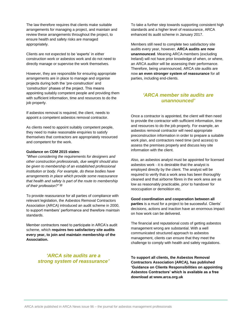The law therefore requires that clients make suitable arrangements for managing a project, and maintain and review these arrangements throughout the project, to ensure health and safety risks are managed appropriately.

Clients are not expected to be 'experts' in either construction work or asbestos work and do not need to directly manage or supervise the work themselves.

However, they are responsible for ensuring appropriate arrangements are in place to manage and organise projects during both the 'pre-construction' and 'construction' phases of the project. This means appointing suitably competent people and providing them with sufficient information, time and resources to do the job properly.

If asbestos removal is required, the client, needs to appoint a competent asbestos removal contractor.

As clients need to appoint suitably competent people, they need to make reasonable enquiries to satisfy themselves that contractors are appropriately resourced and competent for the work.

#### **Guidance on CDM 2015 states**:

*"When considering the requirements for designers and other construction professionals, due weight should also be given to membership of an established professional institution or body. For example, do these bodies have arrangements in place which provide some reassurance that health and safety is part of the route to membership of their profession?" (i)*

To provide reassurance for all parties of compliance with relevant legislation, the Asbestos Removal Contractors Association (ARCA) introduced an audit scheme in 2000, to support members' performance and therefore maintain standards.

Member contractors need to participate in ARCA's audit scheme, which **requires two satisfactory site audits every year, to join and maintain membership of the Association.**

## *'ARCA site audits are a strong system of reassurance'*

To take a further step towards supporting consistent high standards and a higher level of reassurance, ARCA enhanced its audit scheme in January 2017.

Members still need to complete two satisfactory site audits every year, however, **ARCA audits are now unannounced**. Meaning ARCA members (excluding Ireland) will not have prior knowledge of when, or where, an ARCA auditor will be assessing their performance. Therefore, being unannounced, ARCA site audits are now **an even stronger system of reassurance** for all parties, including end-clients.

## *'ARCA member site audits are unannounced'*

Once a contractor is appointed, the client will then need to provide the contractor with sufficient information, time and resources to do the job properly. For example, an asbestos removal contractor will need appropriate preconstruction information in order to prepare a suitable work plan, and contractors need time (and access) to assess the premises properly and discuss key site information with the client.

Also, an asbestos analyst must be appointed for licensed asbestos work - it is desirable that the analyst is employed directly by the client. The analyst will be required to verify that a work area has been thoroughly cleaned and that airborne fibres in the work area are as low as reasonably practicable, prior to handover for reoccupation or demolition etc.

**Good coordination and cooperation between all parties** is a must for a project to be successful. Clients' decisions, actions and inaction have an enormous impact on how work can be delivered.

The financial and reputational costs of getting asbestos management wrong are substantial. With a well communicated structured approach to asbestos management, clients can ensure that they meet the challenge to comply with health and safety regulations.

**To support all clients, the Asbestos Removal Contractors Association (ARCA), has published 'Guidance on Clients Responsibilities on appointing Asbestos Contractors' which is available as a free download at www.arca.org.uk**